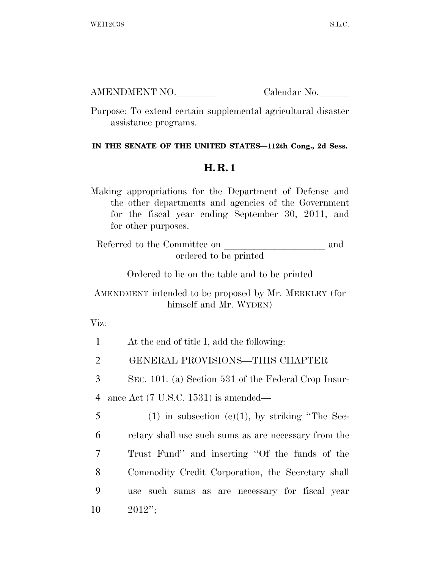| AMENDMENT NO. | Calendar No. |
|---------------|--------------|
|               |              |

Purpose: To extend certain supplemental agricultural disaster assistance programs.

## **IN THE SENATE OF THE UNITED STATES—112th Cong., 2d Sess.**

## **H. R. 1**

Making appropriations for the Department of Defense and the other departments and agencies of the Government for the fiscal year ending September 30, 2011, and for other purposes.

Referred to the Committee on and ordered to be printed

Ordered to lie on the table and to be printed

## AMENDMENT intended to be proposed by Mr. MERKLEY (for himself and Mr. WYDEN)

Viz:

| $\mathbf{1}$ | At the end of title I, add the following:            |
|--------------|------------------------------------------------------|
| 2            | GENERAL PROVISIONS—THIS CHAPTER                      |
| 3            | SEC. 101. (a) Section 531 of the Federal Crop Insur- |
| 4            | ance Act $(7 \text{ U.S.C. } 1531)$ is amended—      |
| 5            | $(1)$ in subsection $(e)(1)$ , by striking "The Sec- |
| 6            | retary shall use such sums as are necessary from the |
| 7            | Trust Fund" and inserting "Of the funds of the       |
| 8            | Commodity Credit Corporation, the Secretary shall    |
| 9            | use such sums as are necessary for fiscal year       |
| 10           | $2012$ ";                                            |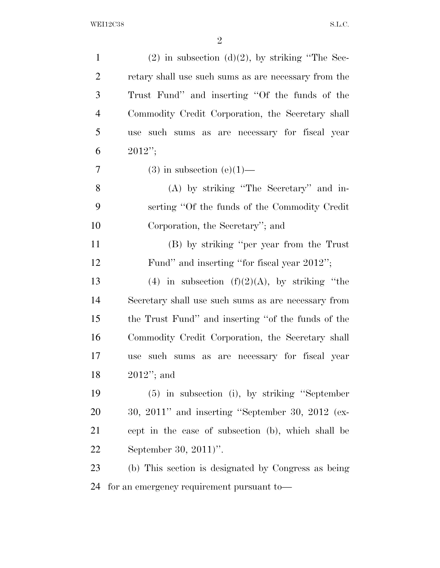| $\mathbf{1}$   | $(2)$ in subsection $(d)(2)$ , by striking "The Sec- |
|----------------|------------------------------------------------------|
| $\overline{2}$ | retary shall use such sums as are necessary from the |
| 3              | Trust Fund" and inserting "Of the funds of the       |
| $\overline{4}$ | Commodity Credit Corporation, the Secretary shall    |
| 5              | such sums as are necessary for fiscal year<br>use    |
| 6              | $2012$ ";                                            |
| 7              | $(3)$ in subsection $(e)(1)$ —                       |
| 8              | (A) by striking "The Secretary" and in-              |
| 9              | serting "Of the funds of the Commodity Credit"       |
| 10             | Corporation, the Secretary"; and                     |
| 11             | (B) by striking "per year from the Trust"            |
| 12             | Fund" and inserting "for fiscal year 2012";          |
| 13             | (4) in subsection $(f)(2)(A)$ , by striking "the     |
| 14             | Secretary shall use such sums as are necessary from  |
| 15             | the Trust Fund" and inserting "of the funds of the   |
| 16             | Commodity Credit Corporation, the Secretary shall    |
| 17             | such sums as are necessary for fiscal year<br>use    |
| 18             | $2012"$ ; and                                        |
| 19             | $(5)$ in subsection (i), by striking "September      |
| 20             | $30, 2011$ " and inserting "September 30, 2012 (ex-  |
|                |                                                      |
| 21             | cept in the case of subsection (b), which shall be   |
| 22             | September 30, 2011)".                                |
| 23             | (b) This section is designated by Congress as being  |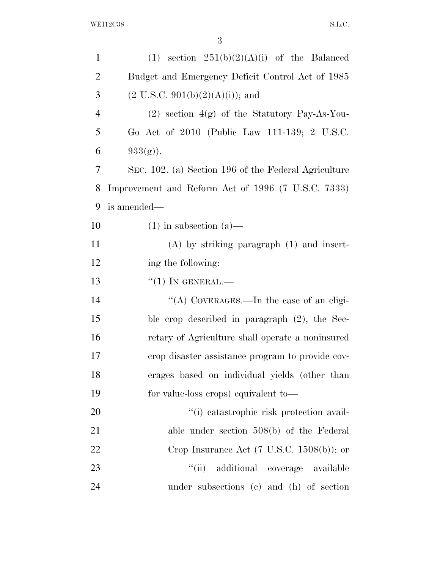| $\mathbf{1}$   | (1) section $251(b)(2)(A)(i)$ of the Balanced         |
|----------------|-------------------------------------------------------|
| $\overline{2}$ | Budget and Emergency Deficit Control Act of 1985      |
| 3              | $(2 \text{ U.S.C. } 901(b)(2)(A)(i));$ and            |
| $\overline{4}$ | $(2)$ section $4(g)$ of the Statutory Pay-As-You-     |
| 5              | Go Act of 2010 (Public Law 111-139; 2 U.S.C.          |
| 6              | $933(g)$ ).                                           |
| 7              | SEC. 102. (a) Section 196 of the Federal Agriculture  |
| 8              | Improvement and Reform Act of 1996 (7 U.S.C. 7333)    |
| 9              | is amended—                                           |
| 10             | $(1)$ in subsection $(a)$ —                           |
| 11             | $(A)$ by striking paragraph $(1)$ and insert-         |
| 12             | ing the following:                                    |
| 13             | $``(1)$ In GENERAL.—                                  |
| 14             | "(A) COVERAGES.—In the case of an eligi-              |
| 15             | ble crop described in paragraph $(2)$ , the Sec-      |
| 16             | retary of Agriculture shall operate a noninsured      |
| 17             | erop disaster assistance program to provide cov-      |
| 18             | erages based on individual yields (other than         |
| 19             | for value-loss crops) equivalent to-                  |
| 20             | "(i) catastrophic risk protection avail-              |
| 21             | able under section $508(b)$ of the Federal            |
| 22             | Crop Insurance Act $(7 \text{ U.S.C. } 1508(b))$ ; or |
| 23             | additional coverage available<br>``(ii)               |
| 24             | under subsections (c) and (h) of section              |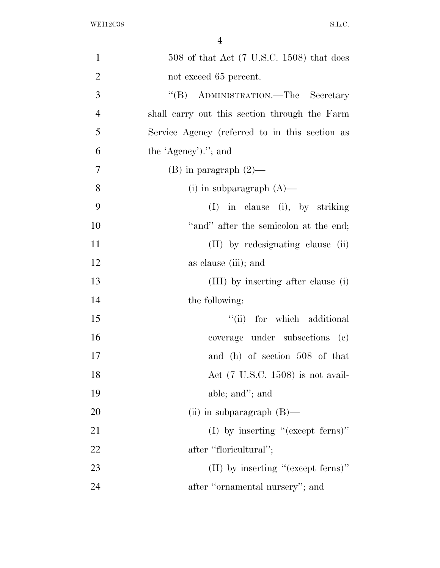| $\mathbf{1}$   | $508$ of that Act (7 U.S.C. 1508) that does       |
|----------------|---------------------------------------------------|
| $\overline{2}$ | not exceed 65 percent.                            |
| 3              | ADMINISTRATION.—The Secretary<br>$\mathrm{``(B)}$ |
| $\overline{4}$ | shall carry out this section through the Farm     |
| 5              | Service Agency (referred to in this section as    |
| 6              | the 'Agency')."; and                              |
| 7              | $(B)$ in paragraph $(2)$ —                        |
| 8              | (i) in subparagraph $(A)$ —                       |
| 9              | $(I)$ in clause (i), by striking                  |
| 10             | "and" after the semicolon at the end;             |
| 11             | (II) by redesignating clause (ii)                 |
| 12             | as clause (iii); and                              |
| 13             | (III) by inserting after clause (i)               |
| 14             | the following:                                    |
| 15             | ``(ii)<br>for which additional                    |
| 16             | coverage under subsections (c)                    |
| 17             | and (h) of section 508 of that                    |
| 18             | Act $(7 \text{ U.S.C. } 1508)$ is not avail-      |
| 19             | able; and"; and                                   |
| 20             | (ii) in subparagraph $(B)$ —                      |
| 21             | (I) by inserting "(except ferms)"                 |
| 22             | after "floricultural";                            |
| 23             | $(II)$ by inserting "(except ferms)"              |
| 24             | after "ornamental nursery"; and                   |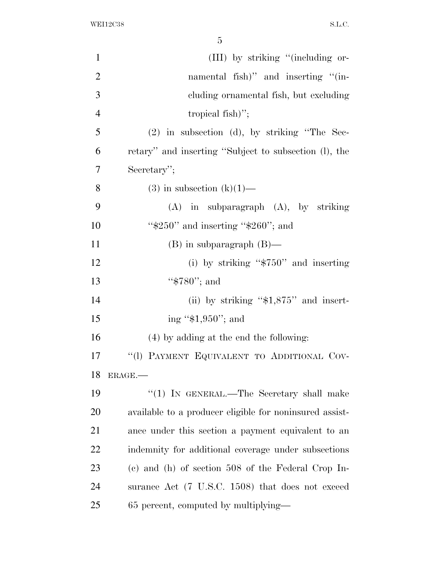| $\mathbf{1}$   | (III) by striking "(including or-                       |
|----------------|---------------------------------------------------------|
| $\overline{2}$ | namental fish)" and inserting "(in-                     |
| 3              | cluding ornamental fish, but excluding                  |
| $\overline{4}$ | tropical fish)";                                        |
| 5              | $(2)$ in subsection $(d)$ , by striking "The Sec-       |
| 6              | retary" and inserting "Subject to subsection (1), the   |
| $\overline{7}$ | Secretary";                                             |
| 8              | $(3)$ in subsection $(k)(1)$ —                          |
| 9              | $(A)$ in subparagraph $(A)$ , by striking               |
| 10             | " $$250"$ and inserting " $$260"$ ; and                 |
| 11             | $(B)$ in subparagraph $(B)$ —                           |
| 12             | (i) by striking " $$750"$ and inserting                 |
| 13             | " $$780"$ ; and                                         |
| 14             | (ii) by striking " $$1,875"$ and insert-                |
| 15             | ing " $$1,950"$ ; and                                   |
| 16             | (4) by adding at the end the following:                 |
| 17             | "(1) PAYMENT EQUIVALENT TO ADDITIONAL COV-              |
| 18             | ERAGE.                                                  |
| 19             | "(1) IN GENERAL.—The Secretary shall make               |
| 20             | available to a producer eligible for noninsured assist- |
| 21             | ance under this section a payment equivalent to an      |
| 22             | indemnity for additional coverage under subsections     |
| 23             | $(e)$ and $(h)$ of section 508 of the Federal Crop In-  |
| 24             | surance Act (7 U.S.C. 1508) that does not exceed        |
| 25             | 65 percent, computed by multiplying—                    |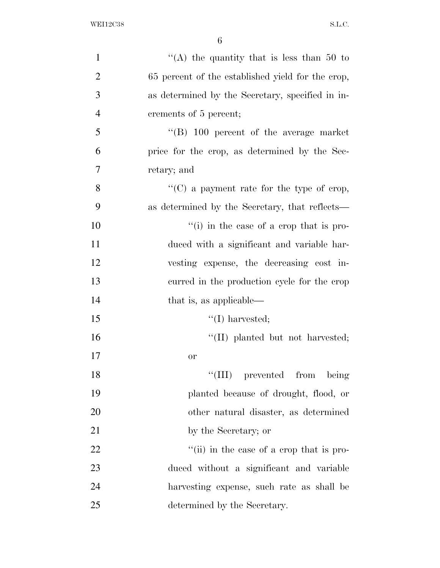| $\mathbf{1}$   | "(A) the quantity that is less than $50$ to       |
|----------------|---------------------------------------------------|
| $\overline{2}$ | 65 percent of the established yield for the crop, |
| 3              | as determined by the Secretary, specified in in-  |
| $\overline{4}$ | crements of 5 percent;                            |
| 5              | $\cdot$ (B) 100 percent of the average market     |
| 6              | price for the crop, as determined by the Sec-     |
| 7              | retary; and                                       |
| 8              | "(C) a payment rate for the type of crop,         |
| 9              | as determined by the Secretary, that reflects—    |
| 10             | $\lq\lq$ (i) in the case of a crop that is pro-   |
| 11             | duced with a significant and variable har-        |
| 12             | vesting expense, the decreasing cost in-          |
| 13             | curred in the production cycle for the crop       |
| 14             | that is, as applicable—                           |
| 15             | $\lq\lq$ (I) harvested;                           |
| 16             | "(II) planted but not harvested;                  |
| 17             | <b>or</b>                                         |
| 18             | prevented from<br>``(III)<br>being                |
| 19             | planted because of drought, flood, or             |
| 20             | other natural disaster, as determined             |
| 21             | by the Secretary; or                              |
| 22             | "(ii) in the case of a crop that is pro-          |
| 23             | duced without a significant and variable          |
| 24             | harvesting expense, such rate as shall be         |
| 25             | determined by the Secretary.                      |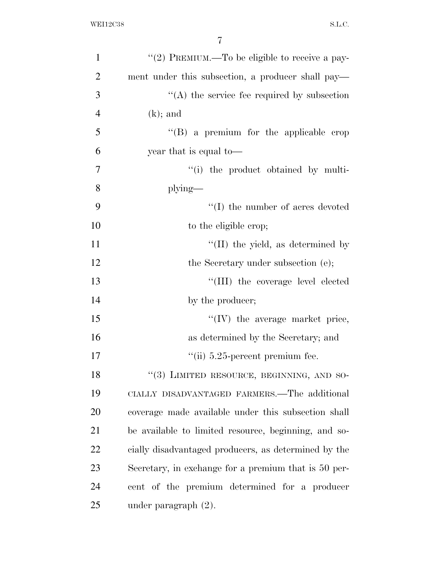| $\mathbf{1}$   | "(2) PREMIUM.—To be eligible to receive a pay-       |
|----------------|------------------------------------------------------|
| $\overline{2}$ | ment under this subsection, a producer shall pay—    |
| 3              | $\cdot$ (A) the service fee required by subsection   |
| $\overline{4}$ | $(k)$ ; and                                          |
| 5              | "(B) a premium for the applicable crop               |
| 6              | year that is equal to—                               |
| $\overline{7}$ | "(i) the product obtained by multi-                  |
| 8              | $plying$ —                                           |
| 9              | $\lq\lq$ (I) the number of acres devoted             |
| 10             | to the eligible crop;                                |
| 11             | $\lq\lq$ (II) the yield, as determined by            |
| 12             | the Secretary under subsection (e);                  |
| 13             | "(III) the coverage level elected                    |
| 14             | by the producer;                                     |
| 15             | $\lq\lq$ (IV) the average market price,              |
| 16             | as determined by the Secretary; and                  |
| 17             | $\lq$ <sup>"</sup> (ii) 5.25-percent premium fee.    |
| 18             | "(3) LIMITED RESOURCE, BEGINNING, AND SO-            |
| 19             | CIALLY DISADVANTAGED FARMERS.—The additional         |
| 20             | coverage made available under this subsection shall  |
| 21             | be available to limited resource, beginning, and so- |
| 22             | cially disadvantaged producers, as determined by the |
| 23             | Secretary, in exchange for a premium that is 50 per- |
| 24             | cent of the premium determined for a producer        |
| 25             | under paragraph $(2)$ .                              |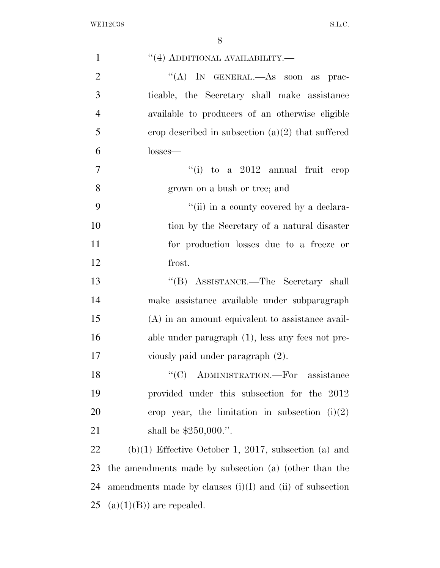| $\mathbf{1}$   | $\lq(4)$ ADDITIONAL AVAILABILITY.—                           |
|----------------|--------------------------------------------------------------|
| $\overline{2}$ | "(A) IN GENERAL.—As soon as prac-                            |
| 3              | ticable, the Secretary shall make assistance                 |
| $\overline{4}$ | available to producers of an otherwise eligible              |
| 5              | erop described in subsection $(a)(2)$ that suffered          |
| 6              | losses—                                                      |
| $\overline{7}$ | $``(i)$ to a 2012 annual fruit<br>erop                       |
| 8              | grown on a bush or tree; and                                 |
| 9              | "(ii) in a county covered by a declara-                      |
| 10             | tion by the Secretary of a natural disaster                  |
| 11             | for production losses due to a freeze or                     |
| 12             | frost.                                                       |
| 13             | "(B) ASSISTANCE.—The Secretary shall                         |
| 14             | make assistance available under subparagraph                 |
| 15             | $(A)$ in an amount equivalent to assistance avail-           |
| 16             | able under paragraph $(1)$ , less any fees not pre-          |
| 17             | viously paid under paragraph (2).                            |
| 18             | ADMINISTRATION.—For assistance                               |
| 19             | provided under this subsection for the 2012                  |
| 20             | crop year, the limitation in subsection $(i)(2)$             |
| 21             | shall be $$250,000."$ .                                      |
| 22             | $(b)(1)$ Effective October 1, 2017, subsection (a) and       |
| 23             | the amendments made by subsection (a) (other than the        |
| 24             | amendments made by clauses $(i)(I)$ and $(ii)$ of subsection |
| 25             | $(a)(1)(B)$ are repealed.                                    |